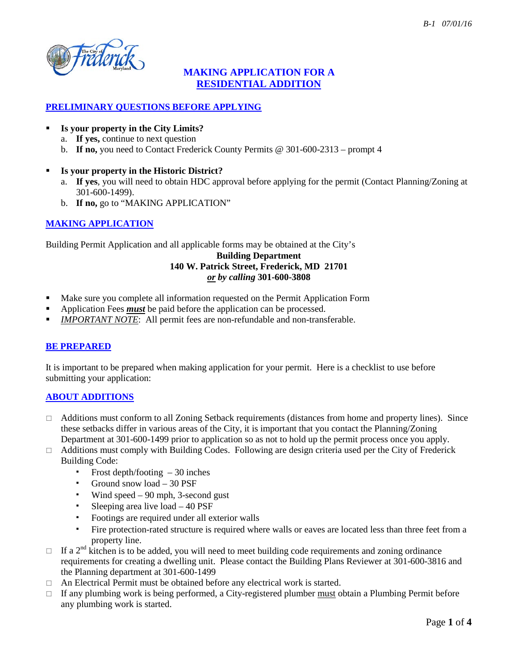

# **MAKING APPLICATION FOR A RESIDENTIAL ADDITION**

## **PRELIMINARY QUESTIONS BEFORE APPLYING**

## **Is your property in the City Limits?**

- a. **If yes,** continue to next question
- b. **If no,** you need to Contact Frederick County Permits @ 301-600-2313 prompt 4

## **Is your property in the Historic District?**

- a. **If yes**, you will need to obtain HDC approval before applying for the permit (Contact Planning/Zoning at 301-600-1499).
- b. **If no,** go to "MAKING APPLICATION"

## **MAKING APPLICATION**

Building Permit Application and all applicable forms may be obtained at the City's

## **Building Department 140 W. Patrick Street, Frederick, MD 21701** *or by calling* **301-600-3808**

- Make sure you complete all information requested on the Permit Application Form
- Application Fees *must* be paid before the application can be processed.
- *IMPORTANT NOTE*: All permit fees are non-refundable and non-transferable.

### **BE PREPARED**

It is important to be prepared when making application for your permit. Here is a checklist to use before submitting your application:

### **ABOUT ADDITIONS**

- □ Additions must conform to all Zoning Setback requirements (distances from home and property lines). Since these setbacks differ in various areas of the City, it is important that you contact the Planning/Zoning Department at 301-600-1499 prior to application so as not to hold up the permit process once you apply.
- $\Box$  Additions must comply with Building Codes. Following are design criteria used per the City of Frederick Building Code:
	- Frost depth/footing  $-30$  inches
	- Ground snow load 30 PSF
	- Wind speed 90 mph, 3-second gust
	- Sleeping area live load 40 PSF
	- Footings are required under all exterior walls
	- Fire protection-rated structure is required where walls or eaves are located less than three feet from a property line.
- $\Box$  If a 2<sup>nd</sup> kitchen is to be added, you will need to meet building code requirements and zoning ordinance requirements for creating a dwelling unit. Please contact the Building Plans Reviewer at 301-600-3816 and the Planning department at 301-600-1499
- $\Box$  An Electrical Permit must be obtained before any electrical work is started.
- $\Box$  If any plumbing work is being performed, a City-registered plumber must obtain a Plumbing Permit before any plumbing work is started.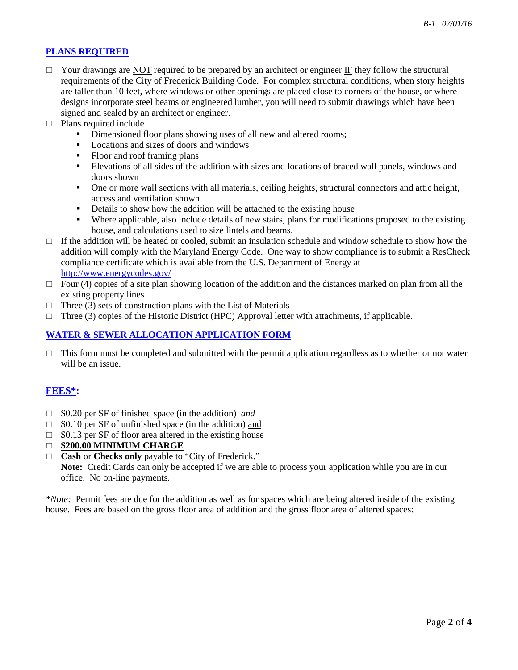## **PLANS REQUIRED**

- $\Box$  Your drawings are NOT required to be prepared by an architect or engineer IF they follow the structural requirements of the City of Frederick Building Code. For complex structural conditions, when story heights are taller than 10 feet, where windows or other openings are placed close to corners of the house, or where designs incorporate steel beams or engineered lumber, you will need to submit drawings which have been signed and sealed by an architect or engineer.
- $\Box$  Plans required include
	- Dimensioned floor plans showing uses of all new and altered rooms;
	- Locations and sizes of doors and windows
	- Floor and roof framing plans
	- Elevations of all sides of the addition with sizes and locations of braced wall panels, windows and doors shown
	- One or more wall sections with all materials, ceiling heights, structural connectors and attic height, access and ventilation shown
	- Details to show how the addition will be attached to the existing house
	- Where applicable, also include details of new stairs, plans for modifications proposed to the existing house, and calculations used to size lintels and beams.
- $\Box$  If the addition will be heated or cooled, submit an insulation schedule and window schedule to show how the addition will comply with the Maryland Energy Code. One way to show compliance is to submit a ResCheck compliance certificate which is available from the U.S. Department of Energy at <http://www.energycodes.gov/>
- $\Box$  Four (4) copies of a site plan showing location of the addition and the distances marked on plan from all the existing property lines
- $\Box$  Three (3) sets of construction plans with the List of Materials
- $\Box$  Three (3) copies of the Historic District (HPC) Approval letter with attachments, if applicable.

#### **WATER & SEWER ALLOCATION APPLICATION FORM**

 $\Box$  This form must be completed and submitted with the permit application regardless as to whether or not water will be an issue.

### **FEES\*:**

- □ \$0.20 per SF of finished space (in the addition) <u>and</u>
- $\Box$  \$0.10 per SF of unfinished space (in the addition) and
- $\Box$  \$0.13 per SF of floor area altered in the existing house
- **\$200.00 MINIMUM CHARGE**
- **Cash** or **Checks only** payable to "City of Frederick."

**Note:** Credit Cards can only be accepted if we are able to process your application while you are in our office. No on-line payments.

*\*Note:* Permit fees are due for the addition as well as for spaces which are being altered inside of the existing house. Fees are based on the gross floor area of addition and the gross floor area of altered spaces: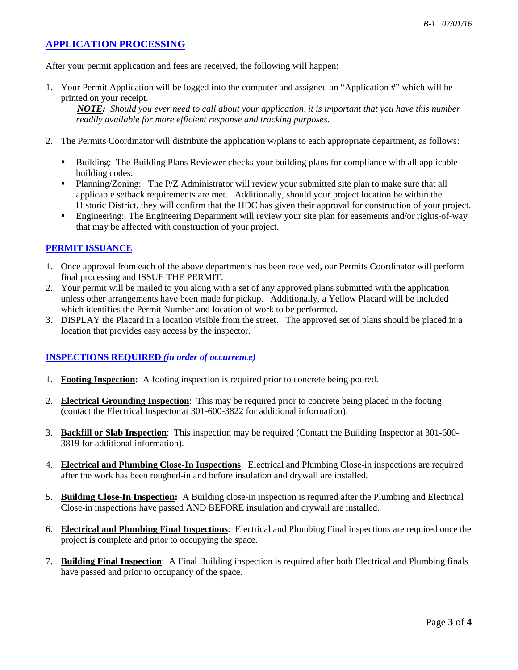## **APPLICATION PROCESSING**

After your permit application and fees are received, the following will happen:

1. Your Permit Application will be logged into the computer and assigned an "Application #" which will be printed on your receipt.

 *NOTE: Should you ever need to call about your application, it is important that you have this number readily available for more efficient response and tracking purposes.*

- 2. The Permits Coordinator will distribute the application w/plans to each appropriate department, as follows:
	- Building: The Building Plans Reviewer checks your building plans for compliance with all applicable building codes.
	- Planning/Zoning: The P/Z Administrator will review your submitted site plan to make sure that all applicable setback requirements are met. Additionally, should your project location be within the Historic District, they will confirm that the HDC has given their approval for construction of your project.
	- Engineering: The Engineering Department will review your site plan for easements and/or rights-of-way that may be affected with construction of your project.

### **PERMIT ISSUANCE**

- 1. Once approval from each of the above departments has been received, our Permits Coordinator will perform final processing and ISSUE THE PERMIT.
- 2. Your permit will be mailed to you along with a set of any approved plans submitted with the application unless other arrangements have been made for pickup. Additionally, a Yellow Placard will be included which identifies the Permit Number and location of work to be performed.
- 3. DISPLAY the Placard in a location visible from the street. The approved set of plans should be placed in a location that provides easy access by the inspector.

#### **INSPECTIONS REQUIRED** *(in order of occurrence)*

- 1. **Footing Inspection:** A footing inspection is required prior to concrete being poured.
- 2. **Electrical Grounding Inspection**: This may be required prior to concrete being placed in the footing (contact the Electrical Inspector at 301-600-3822 for additional information).
- 3. **Backfill or Slab Inspection**: This inspection may be required (Contact the Building Inspector at 301-600- 3819 for additional information).
- 4. **Electrical and Plumbing Close-In Inspections**: Electrical and Plumbing Close-in inspections are required after the work has been roughed-in and before insulation and drywall are installed.
- 5. **Building Close-In Inspection:** A Building close-in inspection is required after the Plumbing and Electrical Close-in inspections have passed AND BEFORE insulation and drywall are installed.
- 6. **Electrical and Plumbing Final Inspections**: Electrical and Plumbing Final inspections are required once the project is complete and prior to occupying the space.
- 7. **Building Final Inspection**: A Final Building inspection is required after both Electrical and Plumbing finals have passed and prior to occupancy of the space.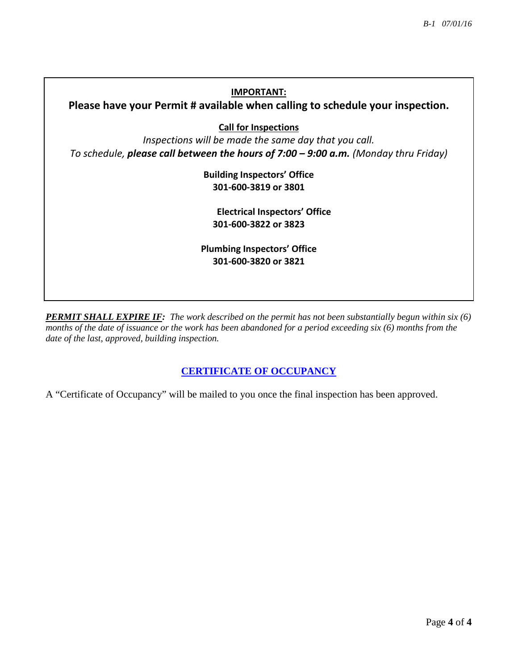## **IMPORTANT:**

**Please have your Permit # available when calling to schedule your inspection.**

**Call for Inspections**

*Inspections will be made the same day that you call. To schedule, please call between the hours of 7:00 – 9:00 a.m. (Monday thru Friday)*

> **Building Inspectors' Office 301-600-3819 or 3801**

**Electrical Inspectors' Office 301-600-3822 or 3823**

**Plumbing Inspectors' Office 301-600-3820 or 3821**

*PERMIT SHALL EXPIRE IF: The work described on the permit has not been substantially begun within six (6) months of the date of issuance or the work has been abandoned for a period exceeding six (6) months from the date of the last, approved, building inspection.* 

## **CERTIFICATE OF OCCUPANCY**

A "Certificate of Occupancy" will be mailed to you once the final inspection has been approved.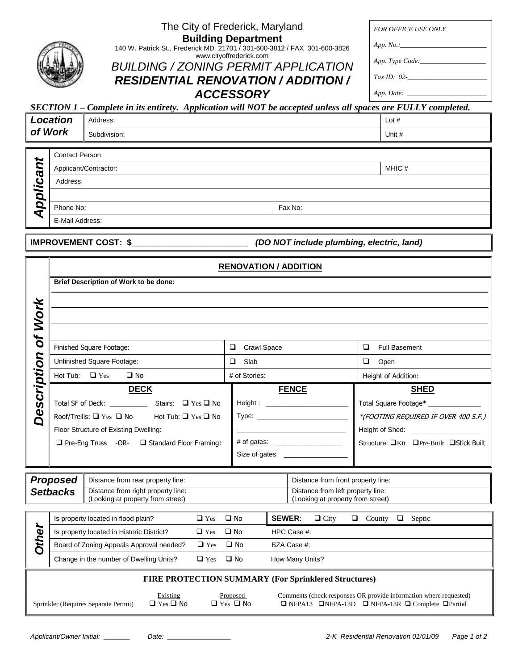| The City of Frederick, Maryland                                                               | <b>FOR OFFICE USE ONLY</b> |
|-----------------------------------------------------------------------------------------------|----------------------------|
| <b>Building Department</b>                                                                    |                            |
| 140 W. Patrick St., Frederick MD 21701 / 301-600-3812 / FAX 301-600-3826                      | App. No.                   |
| www.cityoffrederick.com<br><b>BUILDING / ZONING PERMIT APPLICATION</b>                        | App. Type Code:            |
|                                                                                               | $Tax ID: 02-$              |
| <b>RESIDENTIAL RENOVATION / ADDITION /</b>                                                    |                            |
| <b>ACCESSORY</b>                                                                              |                            |
| lete in its entirety. Application will NOT be accepted unless all spaces are FULLY completed. |                            |
|                                                                                               | $\mathbf{1}$ $\mathbf{1}$  |

| SECTION $1$ – Complete in its entirety. Application will NOT be accepted unless all spaces are FULLY completed. |              |         |  |  |
|-----------------------------------------------------------------------------------------------------------------|--------------|---------|--|--|
| Location                                                                                                        | Address:     | Lot $#$ |  |  |
| of Work                                                                                                         | Subdivision: | Unit #  |  |  |

| $\ddot{}$                 | <b>Contact Person:</b> |         |  |
|---------------------------|------------------------|---------|--|
| $\ddot{\phantom{1}}$<br>Ø | Applicant/Contractor:  | MHIC #  |  |
| Δ<br>÷                    | Address:               |         |  |
| $\bullet$                 |                        |         |  |
| ⌒                         | Phone No:              | Fax No: |  |
|                           | E-Mail Address:        |         |  |
|                           |                        |         |  |

**IMPROVEMENT COST: \$\_\_\_\_\_\_\_\_\_\_\_\_\_\_\_\_\_\_\_\_\_\_\_\_\_** *(DO NOT include plumbing, electric, land)*

|                    | <b>RENOVATION / ADDITION</b> |                                                                         |                                    |                                                                                           |                                         |  |
|--------------------|------------------------------|-------------------------------------------------------------------------|------------------------------------|-------------------------------------------------------------------------------------------|-----------------------------------------|--|
|                    |                              | Brief Description of Work to be done:                                   |                                    |                                                                                           |                                         |  |
|                    |                              |                                                                         |                                    |                                                                                           |                                         |  |
| <b>Work</b>        |                              |                                                                         |                                    |                                                                                           |                                         |  |
| ð                  |                              |                                                                         |                                    |                                                                                           |                                         |  |
|                    | Finished Square Footage:     |                                                                         | $\Box$<br><b>Crawl Space</b>       |                                                                                           | $\Box$<br><b>Full Basement</b>          |  |
| <b>Description</b> | Unfinished Square Footage:   |                                                                         | $\Box$ Slab                        |                                                                                           | $\Box$ Open                             |  |
|                    |                              | Hot Tub: $\Box$ Yes $\Box$ No                                           | # of Stories:                      |                                                                                           | Height of Addition:                     |  |
|                    |                              | <b>DECK</b>                                                             |                                    | <b>FENCE</b>                                                                              | <b>SHED</b>                             |  |
|                    |                              |                                                                         |                                    |                                                                                           | Total Square Footage* _______________   |  |
|                    |                              | Roof/Trellis: $\Box$ Yes $\Box$ No Hot Tub: $\Box$ Yes $\Box$ No        |                                    |                                                                                           | *(FOOTING REQUIRED IF OVER 400 S.F.)    |  |
|                    |                              | Floor Structure of Existing Dwelling:                                   |                                    | the control of the control of the control of the control of the control of the control of | Height of Shed: ___________________     |  |
|                    |                              | □ Pre-Eng Truss -OR- □ Standard Floor Framing:                          |                                    | # of gates: _____________________                                                         | Structure: □Kit □Pre-Built □Stick Built |  |
|                    |                              |                                                                         |                                    | Size of gates: ___________________                                                        |                                         |  |
|                    |                              |                                                                         |                                    |                                                                                           |                                         |  |
|                    | <b>Proposed</b>              | Distance from rear property line:<br>Distance from right property line: | Distance from front property line: |                                                                                           |                                         |  |
|                    | <b>Setbacks</b>              |                                                                         |                                    | Distance from left property line:                                                         |                                         |  |

| (Looking at property from street) |                                           |                      | (Looking at property from street) |                                                            |  |
|-----------------------------------|-------------------------------------------|----------------------|-----------------------------------|------------------------------------------------------------|--|
|                                   | Is property located in flood plain?       | $\Box$ Yes $\Box$ No |                                   | <b>SEWER:</b><br>$\Box$ City<br>County<br>Septic<br>u<br>⊔ |  |
| O                                 | Is property located in Historic District? | $\Box$ Yes $\Box$ No |                                   | HPC Case #:                                                |  |
| £                                 | Board of Zoning Appeals Approval needed?  | $\Box$ Yes $\Box$ No |                                   | BZA Case #:                                                |  |
|                                   | Change in the number of Dwelling Units?   | $\Box$ Yes $\Box$ No |                                   | How Many Units?                                            |  |
|                                   |                                           |                      |                                   |                                                            |  |

## **FIRE PROTECTION SUMMARY (For Sprinklered Structures)**

Existing Proposed Comments (check responses OR provide information where requested)<br>  $\Box$  Yes  $\Box$  No  $\Box$  Yes  $\Box$  No  $\Box$  NFPA-13D  $\Box$  NFPA-13R  $\Box$  Complete  $\Box$  Partial Sprinkler (Requires Separate Permit)  $\Box$  Yes  $\Box$  No  $\Box$  Yes  $\Box$  No  $\Box$  NFPA-13D  $\Box$  NFPA-13R  $\Box$  Complete  $\Box$ Partial